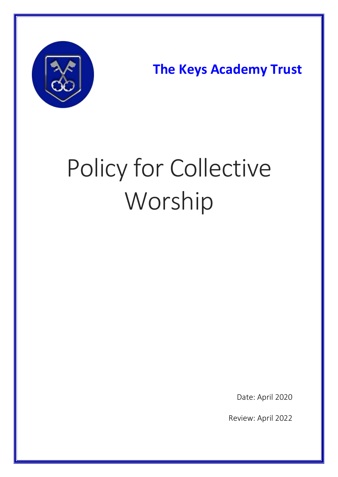

**The Keys Academy Trust**

# Policy for Collective Worship

Date: April 2020

Review: April 2022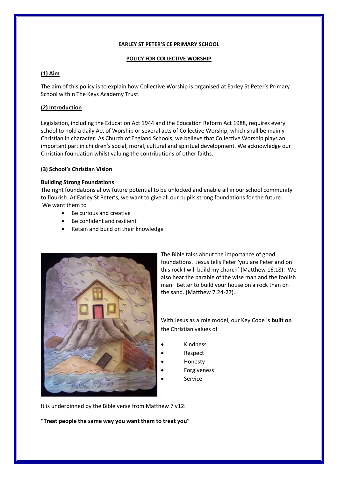#### **EARLEY ST PETER'S CE PRIMARY SCHOOL**

#### **POLICY FOR COLLECTIVE WORSHIP**

# **(1) Aim**

The aim of this policy is to explain how Collective Worship is organised at Earley St Peter's Primary School within The Keys Academy Trust.

# **(2) Introduction**

Legislation, including the Education Act 1944 and the Education Reform Act 1988, requires every school to hold a daily Act of Worship or several acts of Collective Worship, which shall be mainly Christian in character. As Church of England Schools, we believe that Collective Worship plays an important part in children's social, moral, cultural and spiritual development. We acknowledge our Christian foundation whilst valuing the contributions of other faiths.

#### **(3) School's Christian Vision**

#### **Building Strong Foundations**

The right foundations allow future potential to be unlocked and enable all in our school community to flourish. At Earley St Peter's, we want to give all our pupils strong foundations for the future. We want them to

- Be curious and creative
- Be confident and resilient
- Retain and build on their knowledge



The Bible talks about the importance of good foundations. Jesus tells Peter 'you are Peter and on this rock I will build my church' (Matthew 16.18). We also hear the parable of the wise man and the foolish man. Better to build your house on a rock than on the sand. (Matthew 7.24-27).

With Jesus as a role model, our Key Code is **built on** the Christian values of

- Kindness
	- Respect
- Honesty
- Forgiveness
- Service

It is underpinned by the Bible verse from Matthew 7 v12:

**"Treat people the same way you want them to treat you"**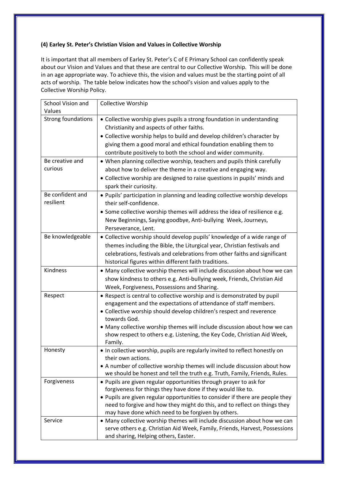# **(4) Earley St. Peter's Christian Vision and Values in Collective Worship**

It is important that all members of Earley St. Peter's C of E Primary School can confidently speak about our Vision and Values and that these are central to our Collective Worship. This will be done in an age appropriate way. To achieve this, the vision and values must be the starting point of all acts of worship. The table below indicates how the school's vision and values apply to the Collective Worship Policy.

| School Vision and         | <b>Collective Worship</b>                                                                          |
|---------------------------|----------------------------------------------------------------------------------------------------|
| Values                    |                                                                                                    |
| <b>Strong foundations</b> | • Collective worship gives pupils a strong foundation in understanding                             |
|                           | Christianity and aspects of other faiths.                                                          |
|                           | • Collective worship helps to build and develop children's character by                            |
|                           | giving them a good moral and ethical foundation enabling them to                                   |
|                           | contribute positively to both the school and wider community.                                      |
| Be creative and           | • When planning collective worship, teachers and pupils think carefully                            |
| curious                   | about how to deliver the theme in a creative and engaging way.                                     |
|                           | • Collective worship are designed to raise questions in pupils' minds and                          |
|                           | spark their curiosity.                                                                             |
| Be confident and          | . Pupils' participation in planning and leading collective worship develops                        |
| resilient                 | their self-confidence.                                                                             |
|                           | • Some collective worship themes will address the idea of resilience e.g.                          |
|                           | New Beginnings, Saying goodbye, Anti-bullying Week, Journeys,                                      |
|                           | Perseverance, Lent.                                                                                |
| Be knowledgeable          | • Collective worship should develop pupils' knowledge of a wide range of                           |
|                           | themes including the Bible, the Liturgical year, Christian festivals and                           |
|                           | celebrations, festivals and celebrations from other faiths and significant                         |
|                           | historical figures within different faith traditions.                                              |
| Kindness                  | • Many collective worship themes will include discussion about how we can                          |
|                           | show kindness to others e.g. Anti-bullying week, Friends, Christian Aid                            |
|                           | Week, Forgiveness, Possessions and Sharing.                                                        |
| Respect                   | • Respect is central to collective worship and is demonstrated by pupil                            |
|                           | engagement and the expectations of attendance of staff members.                                    |
|                           | • Collective worship should develop children's respect and reverence                               |
|                           | towards God.                                                                                       |
|                           | • Many collective worship themes will include discussion about how we can                          |
|                           | show respect to others e.g. Listening, the Key Code, Christian Aid Week,                           |
|                           | Family.                                                                                            |
| Honesty                   | . In collective worship, pupils are regularly invited to reflect honestly on<br>their own actions. |
|                           | • A number of collective worship themes will include discussion about how                          |
|                           | we should be honest and tell the truth e.g. Truth, Family, Friends, Rules.                         |
| Forgiveness               | • Pupils are given regular opportunities through prayer to ask for                                 |
|                           | forgiveness for things they have done if they would like to.                                       |
|                           | • Pupils are given regular opportunities to consider if there are people they                      |
|                           | need to forgive and how they might do this, and to reflect on things they                          |
|                           | may have done which need to be forgiven by others.                                                 |
| Service                   | • Many collective worship themes will include discussion about how we can                          |
|                           | serve others e.g. Christian Aid Week, Family, Friends, Harvest, Possessions                        |
|                           | and sharing, Helping others, Easter.                                                               |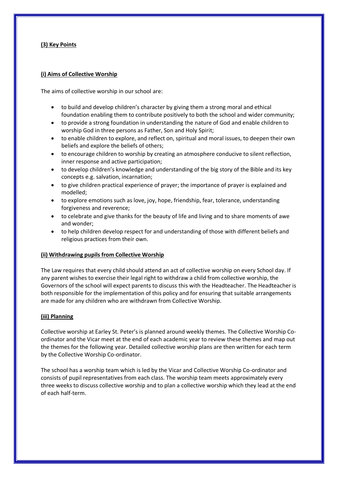### **(3) Key Points**

#### **(i) Aims of Collective Worship**

The aims of collective worship in our school are:

- to build and develop children's character by giving them a strong moral and ethical foundation enabling them to contribute positively to both the school and wider community;
- to provide a strong foundation in understanding the nature of God and enable children to worship God in three persons as Father, Son and Holy Spirit;
- to enable children to explore, and reflect on, spiritual and moral issues, to deepen their own beliefs and explore the beliefs of others;
- to encourage children to worship by creating an atmosphere conducive to silent reflection, inner response and active participation;
- to develop children's knowledge and understanding of the big story of the Bible and its key concepts e.g. salvation, incarnation;
- to give children practical experience of prayer; the importance of prayer is explained and modelled;
- to explore emotions such as love, joy, hope, friendship, fear, tolerance, understanding forgiveness and reverence;
- to celebrate and give thanks for the beauty of life and living and to share moments of awe and wonder;
- to help children develop respect for and understanding of those with different beliefs and religious practices from their own.

#### **(ii) Withdrawing pupils from Collective Worship**

The Law requires that every child should attend an act of collective worship on every School day. If any parent wishes to exercise their legal right to withdraw a child from collective worship, the Governors of the school will expect parents to discuss this with the Headteacher. The Headteacher is both responsible for the implementation of this policy and for ensuring that suitable arrangements are made for any children who are withdrawn from Collective Worship.

# **(iii) Planning**

Collective worship at Earley St. Peter's is planned around weekly themes. The Collective Worship Coordinator and the Vicar meet at the end of each academic year to review these themes and map out the themes for the following year. Detailed collective worship plans are then written for each term by the Collective Worship Co-ordinator.

The school has a worship team which is led by the Vicar and Collective Worship Co-ordinator and consists of pupil representatives from each class. The worship team meets approximately every three weeks to discuss collective worship and to plan a collective worship which they lead at the end of each half-term.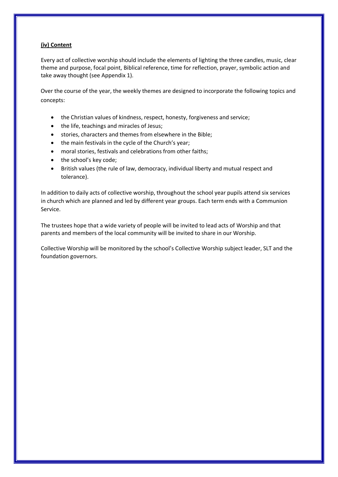# **(iv) Content**

Every act of collective worship should include the elements of lighting the three candles, music, clear theme and purpose, focal point, Biblical reference, time for reflection, prayer, symbolic action and take away thought (see Appendix 1).

Over the course of the year, the weekly themes are designed to incorporate the following topics and concepts:

- the Christian values of kindness, respect, honesty, forgiveness and service;
- the life, teachings and miracles of Jesus;
- stories, characters and themes from elsewhere in the Bible;
- the main festivals in the cycle of the Church's year;
- moral stories, festivals and celebrations from other faiths;
- the school's key code:
- British values (the rule of law, democracy, individual liberty and mutual respect and tolerance).

In addition to daily acts of collective worship, throughout the school year pupils attend six services in church which are planned and led by different year groups. Each term ends with a Communion Service.

The trustees hope that a wide variety of people will be invited to lead acts of Worship and that parents and members of the local community will be invited to share in our Worship.

Collective Worship will be monitored by the school's Collective Worship subject leader, SLT and the foundation governors.